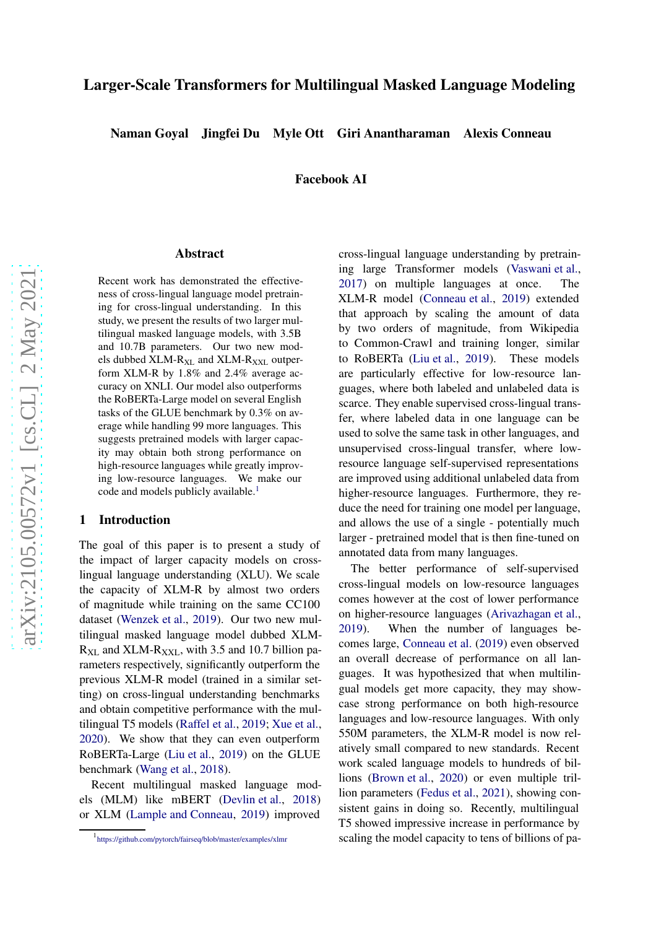# Larger-Scale Transformers for Multilingual Masked Language Modeling

Naman Goyal Jingfei Du Myle Ott Giri Anantharaman Alexis Conneau

Facebook AI

#### Abstract

Recent work has demonstrated the effectiveness of cross-lingual language model pretraining for cross-lingual understanding. In this study, we present the results of two larger multilingual masked language models, with 3.5B and 10.7B parameters. Our two new models dubbed XLM-R<sub>XL</sub> and XLM-R<sub>XXL</sub> outperform XLM-R by 1.8% and 2.4% average accuracy on XNLI. Our model also outperforms the RoBERTa-Large model on several English tasks of the GLUE benchmark by 0.3% on average while handling 99 more languages. This suggests pretrained models with larger capacity may obtain both strong performance on high-resource languages while greatly improving low-resource languages. We make our code and models publicly available. [1](#page-0-0)

### 1 Introduction

The goal of this paper is to present a study of the impact of larger capacity models on crosslingual language understanding (XLU). We scale the capacity of XLM-R by almost two orders of magnitude while training on the same CC100 dataset [\(Wenzek et al.](#page-4-0) , [2019](#page-4-0)). Our two new multilingual masked language model dubbed XLM-  $R_{\text{XL}}$  and XLM- $R_{\text{XXL}}$ , with 3.5 and 10.7 billion parameters respectively, significantly outperform the previous XLM-R model (trained in a similar setting) on cross-lingual understanding benchmarks and obtain competitive performance with the multilingual T5 models [\(Raffel et al.](#page-4-1), [2019](#page-4-1); [Xue et al.,](#page-4-2) [2020\)](#page-4-2). We show that they can even outperform RoBERTa-Large [\(Liu et al.](#page-4-3) , [2019](#page-4-3)) on the GLUE benchmark [\(Wang et al.](#page-4-4) , [2018](#page-4-4)).

Recent multilingual masked language models (MLM) like mBERT [\(Devlin et al.](#page-4-5), [2018](#page-4-5)) or XLM [\(Lample and Conneau](#page-4-6) , [2019](#page-4-6)) improved

cross-lingual language understanding by pretraining large Transformer models [\(Vaswani et al.](#page-4-7), [2017](#page-4-7)) on multiple languages at once. The XLM-R model [\(Conneau et al.](#page-4-8) , [2019](#page-4-8)) extended that approach by scaling the amount of data by two orders of magnitude, from Wikipedia to Common-Crawl and training longer, similar to RoBERTa [\(Liu et al.](#page-4-3) , [2019\)](#page-4-3). These models are particularly effective for low-resource languages, where both labeled and unlabeled data is scarce. They enable supervised cross-lingual transfer, where labeled data in one language can be used to solve the same task in other languages, and unsupervised cross-lingual transfer, where lowresource language self-supervised representations are improved using additional unlabeled data from higher-resource languages. Furthermore, they reduce the need for training one model per language, and allows the use of a single - potentially much larger - pretrained model that is then fine-tuned on annotated data from many languages.

The better performance of self-supervised cross-lingual models on low-resource languages comes however at the cost of lower performance on higher-resource languages [\(Arivazhagan et al.](#page-4-9) , [2019](#page-4-9)). When the number of languages becomes large, [Conneau et al.](#page-4-8) [\(2019](#page-4-8)) even observed an overall decrease of performance on all languages. It was hypothesized that when multilingual models get more capacity, they may showcase strong performance on both high-resource languages and low-resource languages. With only 550M parameters, the XLM-R model is now relatively small compared to new standards. Recent work scaled language models to hundreds of billions [\(Brown et al.,](#page-4-10) [2020](#page-4-10)) or even multiple trillion parameters [\(Fedus et al.,](#page-4-11) [2021](#page-4-11)), showing consistent gains in doing so. Recently, multilingual T5 showed impressive increase in performance by scaling the model capacity to tens of billions of pa-

<span id="page-0-0"></span><sup>1</sup> <https://github.com/pytorch/fairseq/blob/master/examples/xlmr>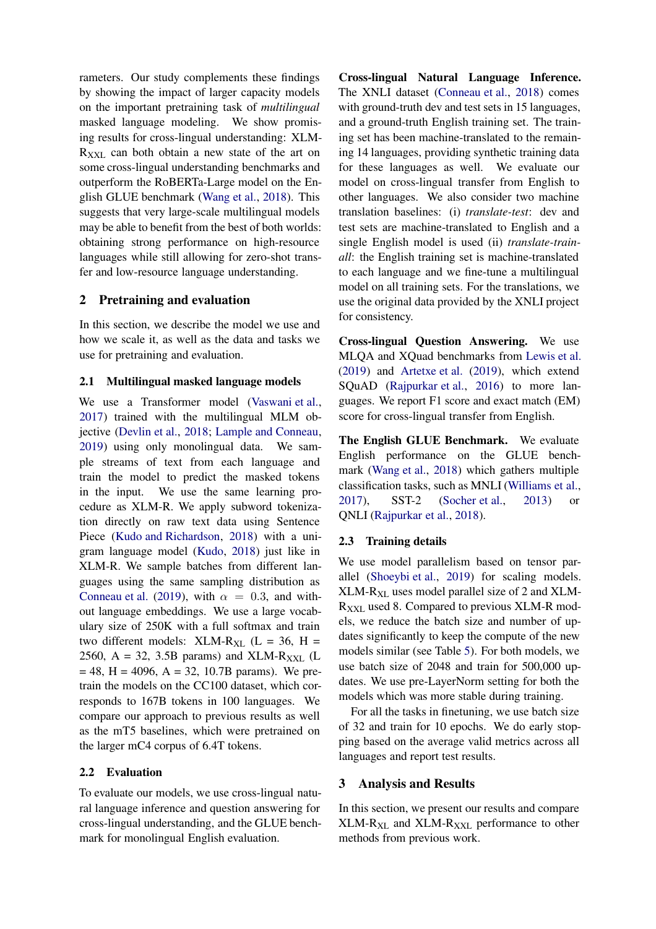rameters. Our study complements these findings by showing the impact of larger capacity models on the important pretraining task of *multilingual* masked language modeling. We show promising results for cross-lingual understanding: XLM- $R_{XXL}$  can both obtain a new state of the art on some cross-lingual understanding benchmarks and outperform the RoBERTa-Large model on the English GLUE benchmark [\(Wang et al.,](#page-4-4) [2018](#page-4-4)). This suggests that very large-scale multilingual models may be able to benefit from the best of both worlds: obtaining strong performance on high-resource languages while still allowing for zero-shot transfer and low-resource language understanding.

## 2 Pretraining and evaluation

In this section, we describe the model we use and how we scale it, as well as the data and tasks we use for pretraining and evaluation.

#### 2.1 Multilingual masked language models

We use a Transformer model [\(Vaswani et al.,](#page-4-7) [2017\)](#page-4-7) trained with the multilingual MLM objective [\(Devlin et al.](#page-4-5), [2018](#page-4-5); [Lample and Conneau,](#page-4-6) [2019\)](#page-4-6) using only monolingual data. We sample streams of text from each language and train the model to predict the masked tokens in the input. We use the same learning procedure as XLM-R. We apply subword tokenization directly on raw text data using Sentence Piece [\(Kudo and Richardson](#page-4-12), [2018\)](#page-4-12) with a unigram language model [\(Kudo,](#page-4-13) [2018](#page-4-13)) just like in XLM-R. We sample batches from different languages using the same sampling distribution as [Conneau et al.](#page-4-8) [\(2019](#page-4-8)), with  $\alpha = 0.3$ , and without language embeddings. We use a large vocabulary size of 250K with a full softmax and train two different models: XLM-R<sub>XL</sub> ( $L = 36$ , H = 2560,  $A = 32$ , 3.5B params) and XLM-R<sub>XXL</sub> (L  $= 48$ , H = 4096, A = 32, 10.7B params). We pretrain the models on the CC100 dataset, which corresponds to 167B tokens in 100 languages. We compare our approach to previous results as well as the mT5 baselines, which were pretrained on the larger mC4 corpus of 6.4T tokens.

### 2.2 Evaluation

To evaluate our models, we use cross-lingual natural language inference and question answering for cross-lingual understanding, and the GLUE benchmark for monolingual English evaluation.

Cross-lingual Natural Language Inference. The XNLI dataset [\(Conneau et al.](#page-4-14), [2018](#page-4-14)) comes with ground-truth dev and test sets in 15 languages, and a ground-truth English training set. The training set has been machine-translated to the remaining 14 languages, providing synthetic training data for these languages as well. We evaluate our model on cross-lingual transfer from English to other languages. We also consider two machine translation baselines: (i) *translate-test*: dev and test sets are machine-translated to English and a single English model is used (ii) *translate-trainall*: the English training set is machine-translated to each language and we fine-tune a multilingual model on all training sets. For the translations, we use the original data provided by the XNLI project for consistency.

Cross-lingual Question Answering. We use MLQA and XQuad benchmarks from [Lewis et al.](#page-4-15) [\(2019](#page-4-15)) and [Artetxe et al.](#page-4-16) [\(2019](#page-4-16)), which extend SQuAD [\(Rajpurkar et al.](#page-4-17), [2016](#page-4-17)) to more languages. We report F1 score and exact match (EM) score for cross-lingual transfer from English.

The English GLUE Benchmark. We evaluate English performance on the GLUE benchmark [\(Wang et al.,](#page-4-4) [2018](#page-4-4)) which gathers multiple classification tasks, such as MNLI [\(Williams et al.](#page-4-18), [2017](#page-4-18)), SST-2 [\(Socher et al.](#page-4-19), [2013\)](#page-4-19) or QNLI [\(Rajpurkar et al.](#page-4-20), [2018](#page-4-20)).

### 2.3 Training details

We use model parallelism based on tensor parallel [\(Shoeybi et al.,](#page-4-21) [2019](#page-4-21)) for scaling models.  $XLM-R_{XL}$  uses model parallel size of 2 and  $XLM R_{XXL}$  used 8. Compared to previous XLM-R models, we reduce the batch size and number of updates significantly to keep the compute of the new models similar (see Table [5\)](#page-3-0). For both models, we use batch size of 2048 and train for 500,000 updates. We use pre-LayerNorm setting for both the models which was more stable during training.

For all the tasks in finetuning, we use batch size of 32 and train for 10 epochs. We do early stopping based on the average valid metrics across all languages and report test results.

### 3 Analysis and Results

In this section, we present our results and compare  $XLM-R_{XL}$  and  $XLM-R_{XXL}$  performance to other methods from previous work.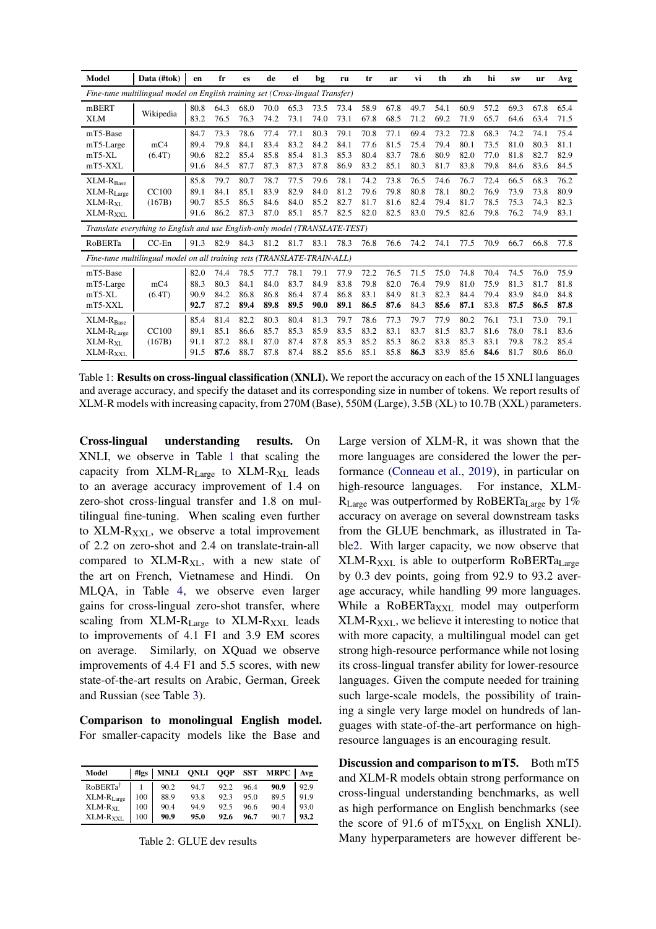<span id="page-2-0"></span>

| Model                                                               | Data (#tok)                                                                   | en                           | fr                           | es                           | de                           | el                           | bg                           | ru                           | tr                           | ar                           | vi                           | th                           | zh                           | hi                           | <b>SW</b>                    | <b>ur</b>                    | Avg                          |
|---------------------------------------------------------------------|-------------------------------------------------------------------------------|------------------------------|------------------------------|------------------------------|------------------------------|------------------------------|------------------------------|------------------------------|------------------------------|------------------------------|------------------------------|------------------------------|------------------------------|------------------------------|------------------------------|------------------------------|------------------------------|
|                                                                     | Fine-tune multilingual model on English training set (Cross-lingual Transfer) |                              |                              |                              |                              |                              |                              |                              |                              |                              |                              |                              |                              |                              |                              |                              |                              |
| mBERT<br><b>XLM</b>                                                 | Wikipedia                                                                     | 80.8<br>83.2                 | 64.3<br>76.5                 | 68.0<br>76.3                 | 70.0<br>74.2                 | 65.3<br>73.1                 | 73.5<br>74.0                 | 73.4<br>73.1                 | 58.9<br>67.8                 | 67.8<br>68.5                 | 49.7<br>71.2                 | 54.1<br>69.2                 | 60.9<br>71.9                 | 57.2<br>65.7                 | 69.3<br>64.6                 | 67.8<br>63.4                 | 65.4<br>71.5                 |
| mT5-Base<br>mT5-Large<br>$mT5-XL$<br>mT5-XXL                        | mC <sub>4</sub><br>(6.4T)                                                     | 84.7<br>89.4<br>90.6<br>91.6 | 73.3<br>79.8<br>82.2<br>84.5 | 78.6<br>84.1<br>85.4<br>87.7 | 77.4<br>83.4<br>85.8<br>87.3 | 77.1<br>83.2<br>85.4<br>87.3 | 80.3<br>84.2<br>81.3<br>87.8 | 79.1<br>84.1<br>85.3<br>86.9 | 70.8<br>77.6<br>80.4<br>83.2 | 77.1<br>81.5<br>83.7<br>85.1 | 69.4<br>75.4<br>78.6<br>80.3 | 73.2<br>79.4<br>80.9<br>81.7 | 72.8<br>80.1<br>82.0<br>83.8 | 68.3<br>73.5<br>77.0<br>79.8 | 74.2<br>81.0<br>81.8<br>84.6 | 74.1<br>80.3<br>82.7<br>83.6 | 75.4<br>81.1<br>82.9<br>84.5 |
| $XLM-RBase$<br>$XLM-RLarge$<br>$XLM-RXI$<br>XLM-R <sub>XXL</sub>    | <b>CC100</b><br>(167B)                                                        | 85.8<br>89.1<br>90.7<br>91.6 | 79.7<br>84.1<br>85.5<br>86.2 | 80.7<br>85.1<br>86.5<br>87.3 | 78.7<br>83.9<br>84.6<br>87.0 | 77.5<br>82.9<br>84.0<br>85.1 | 79.6<br>84.0<br>85.2<br>85.7 | 78.1<br>81.2<br>82.7<br>82.5 | 74.2<br>79.6<br>81.7<br>82.0 | 73.8<br>79.8<br>81.6<br>82.5 | 76.5<br>80.8<br>82.4<br>83.0 | 74.6<br>78.1<br>79.4<br>79.5 | 76.7<br>80.2<br>81.7<br>82.6 | 72.4<br>76.9<br>78.5<br>79.8 | 66.5<br>73.9<br>75.3<br>76.2 | 68.3<br>73.8<br>74.3<br>74.9 | 76.2<br>80.9<br>82.3<br>83.1 |
|                                                                     | Translate everything to English and use English-only model (TRANSLATE-TEST)   |                              |                              |                              |                              |                              |                              |                              |                              |                              |                              |                              |                              |                              |                              |                              |                              |
| RoBERTa                                                             | $CC-En$                                                                       | 91.3                         | 82.9                         | 84.3                         | 81.2                         | 81.7                         | 83.1                         | 78.3                         | 76.8                         | 76.6                         | 74.2                         | 74.1                         | 77.5                         | 70.9                         | 66.7                         | 66.8                         | 77.8                         |
|                                                                     | Fine-tune multilingual model on all training sets (TRANSLATE-TRAIN-ALL)       |                              |                              |                              |                              |                              |                              |                              |                              |                              |                              |                              |                              |                              |                              |                              |                              |
| mT5-Base<br>mT5-Large<br>$mT5-XL$<br>$mT5-XXL$                      | mC <sub>4</sub><br>(6.4T)                                                     | 82.0<br>88.3<br>90.9<br>92.7 | 74.4<br>80.3<br>84.2<br>87.2 | 78.5<br>84.1<br>86.8<br>89.4 | 77.7<br>84.0<br>86.8<br>89.8 | 78.1<br>83.7<br>86.4<br>89.5 | 79.1<br>84.9<br>87.4<br>90.0 | 77.9<br>83.8<br>86.8<br>89.1 | 72.2<br>79.8<br>83.1<br>86.5 | 76.5<br>82.0<br>84.9<br>87.6 | 71.5<br>76.4<br>81.3<br>84.3 | 75.0<br>79.9<br>82.3<br>85.6 | 74.8<br>81.0<br>84.4<br>87.1 | 70.4<br>75.9<br>79.4<br>83.8 | 74.5<br>81.3<br>83.9<br>87.5 | 76.0<br>81.7<br>84.0<br>86.5 | 75.9<br>81.8<br>84.8<br>87.8 |
| $XLM-R_{Base}$<br>$XLM-RLarge$<br>$XLM-RXL$<br>XLM-R <sub>XXL</sub> | CC100<br>(167B)                                                               | 85.4<br>89.1<br>91.1<br>91.5 | 81.4<br>85.1<br>87.2<br>87.6 | 82.2<br>86.6<br>88.1<br>88.7 | 80.3<br>85.7<br>87.0<br>87.8 | 80.4<br>85.3<br>87.4<br>87.4 | 81.3<br>85.9<br>87.8<br>88.2 | 79.7<br>83.5<br>85.3<br>85.6 | 78.6<br>83.2<br>85.2<br>85.1 | 77.3<br>83.1<br>85.3<br>85.8 | 79.7<br>83.7<br>86.2<br>86.3 | 77.9<br>81.5<br>83.8<br>83.9 | 80.2<br>83.7<br>85.3<br>85.6 | 76.1<br>81.6<br>83.1<br>84.6 | 73.1<br>78.0<br>79.8<br>81.7 | 73.0<br>78.1<br>78.2<br>80.6 | 79.1<br>83.6<br>85.4<br>86.0 |

Table 1: **Results on cross-lingual classification (XNLI).** We report the accuracy on each of the 15 XNLI languages and average accuracy, and specify the dataset and its corresponding size in number of tokens. We report results of XLM-R models with increasing capacity, from 270M (Base), 550M (Large), 3.5B (XL) to 10.7B (XXL) parameters.

Cross-lingual understanding results. On XNLI, we observe in Table [1](#page-2-0) that scaling the capacity from XLM-R<sub>Large</sub> to XLM-R<sub>XL</sub> leads to an average accuracy improvement of 1.4 on zero-shot cross-lingual transfer and 1.8 on multilingual fine-tuning. When scaling even further to  $XLM-R_{XXL}$ , we observe a total improvement of 2.2 on zero-shot and 2.4 on translate-train-all compared to  $XLM-R_{XL}$ , with a new state of the art on French, Vietnamese and Hindi. On MLQA, in Table [4,](#page-3-1) we observe even larger gains for cross-lingual zero-shot transfer, where scaling from  $XLM-R_{Large}$  to  $XLM-R_{XXL}$  leads to improvements of 4.1 F1 and 3.9 EM scores on average. Similarly, on XQuad we observe improvements of 4.4 F1 and 5.5 scores, with new state-of-the-art results on Arabic, German, Greek and Russian (see Table [3\)](#page-3-2).

Comparison to monolingual English model. For smaller-capacity models like the Base and

<span id="page-2-1"></span>

| Model                      |     | #lgs   MNLI | QNLI QQP |      | <b>SST</b> | MRPC   Avg |      |
|----------------------------|-----|-------------|----------|------|------------|------------|------|
| RoBERTa <sup>†</sup>       |     | 90.2        | 94.7     | 92.2 | 96.4       | 90.9       | 92.9 |
| $XLM-RLarge$               | 100 | 88.9        | 93.8     | 92.3 | 95.0       | 89.5       | 91.9 |
| $\text{XLM-R}_{\text{XL}}$ | 100 | 90.4        | 94.9     | 92.5 | 96.6       | 90.4       | 93.0 |
| XLM-R <sub>XXL</sub>       | 100 | 90.9        | 95.0     | 92.6 | 96.7       | 90.7       | 93.2 |

Table 2: GLUE dev results

Large version of XLM-R, it was shown that the more languages are considered the lower the performance [\(Conneau et al.](#page-4-8), [2019\)](#page-4-8), in particular on high-resource languages. For instance, XLM- $R_{Large}$  was outperformed by RoBERTa<sub>Large</sub> by 1% accuracy on average on several downstream tasks from the GLUE benchmark, as illustrated in Tabl[e2.](#page-2-1) With larger capacity, we now observe that  $XLM-R<sub>XXL</sub>$  is able to outperform RoBERTa<sub>Large</sub> by 0.3 dev points, going from 92.9 to 93.2 average accuracy, while handling 99 more languages. While a  $RoBERTa<sub>XXL</sub>$  model may outperform  $XLM-R_{XXL}$ , we believe it interesting to notice that with more capacity, a multilingual model can get strong high-resource performance while not losing its cross-lingual transfer ability for lower-resource languages. Given the compute needed for training such large-scale models, the possibility of training a single very large model on hundreds of languages with state-of-the-art performance on highresource languages is an encouraging result.

Discussion and comparison to mT5. Both mT5 and XLM-R models obtain strong performance on cross-lingual understanding benchmarks, as well as high performance on English benchmarks (see the score of 91.6 of mT5 $_{\text{XXL}}$  on English XNLI). Many hyperparameters are however different be-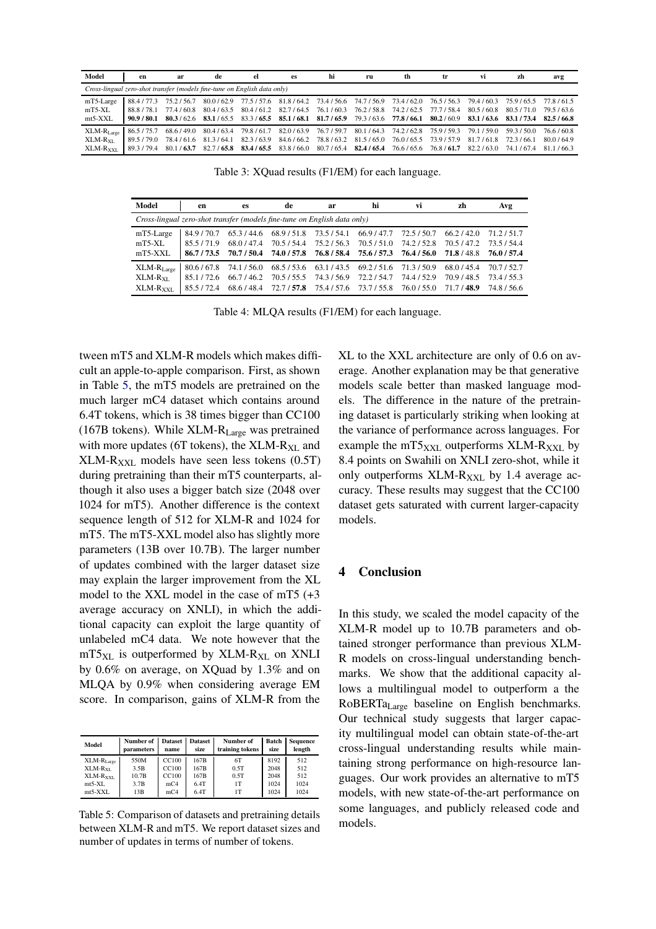<span id="page-3-2"></span>

| Model                                                                    | en          | ar          | de                                                                                                                      | el        | es                                                                              | hi | ru | th                  | tr | VÌ                                                                                                  | zh        | avg         |
|--------------------------------------------------------------------------|-------------|-------------|-------------------------------------------------------------------------------------------------------------------------|-----------|---------------------------------------------------------------------------------|----|----|---------------------|----|-----------------------------------------------------------------------------------------------------|-----------|-------------|
| Cross-lingual zero-shot transfer (models fine-tune on English data only) |             |             |                                                                                                                         |           |                                                                                 |    |    |                     |    |                                                                                                     |           |             |
| mT5-Large                                                                | 88.4/77.3   | 75.2 / 56.7 |                                                                                                                         |           |                                                                                 |    |    |                     |    | 80.0/62.9 77.5/57.6 81.8/64.2 73.4/56.6 74.7/56.9 73.4/62.0 76.5/56.3 79.4/60.3 75.9/65.5 77.8/61.5 |           |             |
| $mT5-XL$                                                                 | 88.8/78.1   | 77.4 / 60.8 |                                                                                                                         |           | 80.4/63.5 80.4/61.2 82.7/64.5 76.1/60.3 76.2/58.8 74.2/62.5 77.7/58.4 80.5/60.8 |    |    |                     |    |                                                                                                     | 80.5/71.0 | 79.5/63.6   |
| $mt5-XXL$                                                                | 90.9 / 80.1 |             | 80.3/62.6 83.1/65.5 83.3/65.5 85.1/68.1 81.7/65.9 79.3/63.6 77.8/66.1 80.2/60.9 83.1/63.6 83.1/73.4 82.5/66.8           |           |                                                                                 |    |    |                     |    |                                                                                                     |           |             |
| $\text{XLM-R}_{\text{Lare}}$                                             | 86.5/75.7   |             | 68.6 / 49.0 80.4 / 63.4 79.8 / 61.7 82.0 / 63.9 76.7 / 59.7 80.1 / 64.3 74.2 / 62.8 75.9 / 59.3 79.1 / 59.0 59.3 / 50.0 |           |                                                                                 |    |    |                     |    |                                                                                                     |           | 76.6 / 60.8 |
| XLM-R <sub>xL</sub>                                                      | 89.5/79.0   |             | 78.4/61.6 81.3/64.1                                                                                                     | 82.3/63.9 | 84.6/66.2 78.8/63.2 81.5/65.0                                                   |    |    | 76.0/65.5 73.9/57.9 |    | 81.7/61.8                                                                                           | 72.3/66.1 | 80.0/64.9   |
| $XLM-RXXL$                                                               | 89.3/79.4   |             | 80.1/63.7 82.7/65.8 83.4/65.5 83.8/66.0 80.7/65.4 82.4/65.4 76.6/65.6 76.8/61.7 82.2/63.0 74.1/67.4 81.1/66.3           |           |                                                                                 |    |    |                     |    |                                                                                                     |           |             |

Table 3: XQuad results (F1/EM) for each language.

<span id="page-3-1"></span>

| Model                                                                    | en          | es          | de          | ar          | hi          | VÌ          | zh          | Avg         |
|--------------------------------------------------------------------------|-------------|-------------|-------------|-------------|-------------|-------------|-------------|-------------|
| Cross-lingual zero-shot transfer (models fine-tune on English data only) |             |             |             |             |             |             |             |             |
| mT5-Large                                                                | 84.9/70.7   | 65.3/44.6   | 68.9/51.8   | 73.5/54.1   | 66.9 / 47.7 | 72.5/50.7   | 66.2/42.0   | 71.2/51.7   |
| $mT5-XL$                                                                 | 855/719     | 68.0/47.4   | 70.5/54.4   | 75.2/56.3   | 70.5/51.0   | 74.2/52.8   | 70.5/47.2   | 735/544     |
| $mT5-XXL$                                                                | 86.7/73.5   | 70.7 / 50.4 | 74.0 / 57.8 | 76.8 / 58.4 | 75.6 / 57.3 | 76.4 / 56.0 | 71.8/48.8   | 76.0 / 57.4 |
| $\text{XLM-R}_{\text{Large}}$                                            | 80.6/67.8   | 74.1/56.0   | 68.5/53.6   | 63.1/43.5   | 69.2/51.6   | 71.3/50.9   | 68.0 / 45.4 | 70.7 / 52.7 |
| $XLM-RMI$                                                                | 85 1 / 72.6 | 66.7/46.2   | 70.5 / 55.5 | 74.3/56.9   | 72.2/54.7   | 74.4/52.9   | 70.9/48.5   | 73.4 / 55.3 |
| $XLM-RXXL$                                                               | 85 5 / 72 4 | 68.6 / 48.4 | 72.7 / 57.8 | 75.4 / 57.6 | 73.7 / 55.8 | 76.0 / 55.0 | 71 7 / 48.9 | 74.8/56.6   |

Table 4: MLQA results (F1/EM) for each language.

tween mT5 and XLM-R models which makes difficult an apple-to-apple comparison. First, as shown in Table [5,](#page-3-0) the mT5 models are pretrained on the much larger mC4 dataset which contains around 6.4T tokens, which is 38 times bigger than CC100 (167B tokens). While XLM-RLarge was pretrained with more updates (6T tokens), the  $XLM-R_{XL}$  and  $XLM-R<sub>XXL</sub>$  models have seen less tokens (0.5T) during pretraining than their mT5 counterparts, although it also uses a bigger batch size (2048 over 1024 for mT5). Another difference is the context sequence length of 512 for XLM-R and 1024 for mT5. The mT5-XXL model also has slightly more parameters (13B over 10.7B). The larger number of updates combined with the larger dataset size may explain the larger improvement from the XL model to the XXL model in the case of mT5 (+3 average accuracy on XNLI), in which the additional capacity can exploit the large quantity of unlabeled mC4 data. We note however that the  $mT5_{XL}$  is outperformed by XLM-R<sub>XL</sub> on XNLI by 0.6% on average, on XQuad by 1.3% and on MLQA by 0.9% when considering average EM score. In comparison, gains of XLM-R from the

<span id="page-3-0"></span>

| Model               | Number of<br>parameters | <b>Dataset</b><br>name | <b>Dataset</b><br>size | Number of<br>training tokens | Batch<br>size | <b>Sequence</b><br>length |  |
|---------------------|-------------------------|------------------------|------------------------|------------------------------|---------------|---------------------------|--|
| $XLM-RLarge$        | 550M                    | CC100                  | 167B                   | 6T                           | 8192          | 512                       |  |
| XLM-R <sub>yi</sub> | 3.5B                    | <b>CC100</b>           | 167B                   | 0.5T                         | 2048          | 512                       |  |
| $XLM-RXXL$          | 10.7B                   | <b>CC100</b>           | 167B                   | 0.5T                         | 2048          | 512                       |  |
| $mt5-XL$            | 3.7B                    | mC <sub>4</sub>        | 6.4T                   | 1T                           | 1024          | 1024                      |  |
| $mt5-XXI$ .         | 13B                     | mc <sub>4</sub>        | 6.4T                   | 1T                           | 1024          | 1024                      |  |

Table 5: Comparison of datasets and pretraining details between XLM-R and mT5. We report dataset sizes and number of updates in terms of number of tokens.

XL to the XXL architecture are only of 0.6 on average. Another explanation may be that generative models scale better than masked language models. The difference in the nature of the pretraining dataset is particularly striking when looking at the variance of performance across languages. For example the mT5 $_{\text{XXL}}$  outperforms XLM-R<sub>XXL</sub> by 8.4 points on Swahili on XNLI zero-shot, while it only outperforms  $XLM-R_{XXL}$  by 1.4 average accuracy. These results may suggest that the CC100 dataset gets saturated with current larger-capacity models.

### 4 Conclusion

In this study, we scaled the model capacity of the XLM-R model up to 10.7B parameters and obtained stronger performance than previous XLM-R models on cross-lingual understanding benchmarks. We show that the additional capacity allows a multilingual model to outperform a the RoBERTa<sub>Large</sub> baseline on English benchmarks. Our technical study suggests that larger capacity multilingual model can obtain state-of-the-art cross-lingual understanding results while maintaining strong performance on high-resource languages. Our work provides an alternative to mT5 models, with new state-of-the-art performance on some languages, and publicly released code and models.